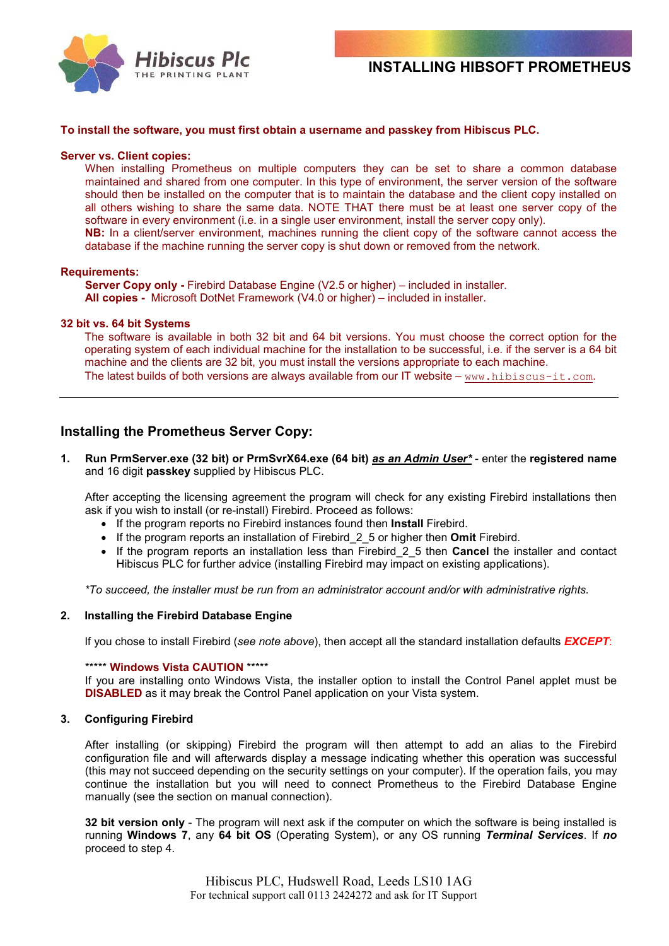

### **To install the software, you must first obtain a username and passkey from Hibiscus PLC.**

#### **Server vs. Client copies:**

When installing Prometheus on multiple computers they can be set to share a common database maintained and shared from one computer. In this type of environment, the server version of the software should then be installed on the computer that is to maintain the database and the client copy installed on all others wishing to share the same data. NOTE THAT there must be at least one server copy of the software in every environment (i.e. in a single user environment, install the server copy only). **NB:** In a client/server environment, machines running the client copy of the software cannot access the database if the machine running the server copy is shut down or removed from the network.

### **Requirements:**

**Server Copy only - Firebird Database Engine (V2.5 or higher) – included in installer. All copies -** Microsoft DotNet Framework (V4.0 or higher) – included in installer.

### **32 bit vs. 64 bit Systems**

The software is available in both 32 bit and 64 bit versions. You must choose the correct option for the operating system of each individual machine for the installation to be successful, i.e. if the server is a 64 bit machine and the clients are 32 bit, you must install the versions appropriate to each machine. The latest builds of both versions are always available from our IT website  $-$  www.hibiscus-it.com.

# **Installing the Prometheus Server Copy:**

**1. Run PrmServer.exe (32 bit) or PrmSvrX64.exe (64 bit)** *as an Admin User\** - enter the **registered name** and 16 digit **passkey** supplied by Hibiscus PLC.

After accepting the licensing agreement the program will check for any existing Firebird installations then ask if you wish to install (or re-install) Firebird. Proceed as follows:

- If the program reports no Firebird instances found then **Install** Firebird.
- If the program reports an installation of Firebird\_2\_5 or higher then **Omit** Firebird.
- If the program reports an installation less than Firebird\_2\_5 then **Cancel** the installer and contact Hibiscus PLC for further advice (installing Firebird may impact on existing applications).

*\*To succeed, the installer must be run from an administrator account and/or with administrative rights.*

### **2. Installing the Firebird Database Engine**

If you chose to install Firebird (*see note above*), then accept all the standard installation defaults *EXCEPT*:

#### \*\*\*\*\* **Windows Vista CAUTION** \*\*\*\*\*

If you are installing onto Windows Vista, the installer option to install the Control Panel applet must be **DISABLED** as it may break the Control Panel application on your Vista system.

### **3. Configuring Firebird**

After installing (or skipping) Firebird the program will then attempt to add an alias to the Firebird configuration file and will afterwards display a message indicating whether this operation was successful (this may not succeed depending on the security settings on your computer). If the operation fails, you may continue the installation but you will need to connect Prometheus to the Firebird Database Engine manually (see the section on manual connection).

**32 bit version only** - The program will next ask if the computer on which the software is being installed is running **Windows 7**, any **64 bit OS** (Operating System), or any OS running *Terminal Services*. If *no* proceed to step 4.

> Hibiscus PLC, Hudswell Road, Leeds LS10 1AG For technical support call 0113 2424272 and ask for IT Support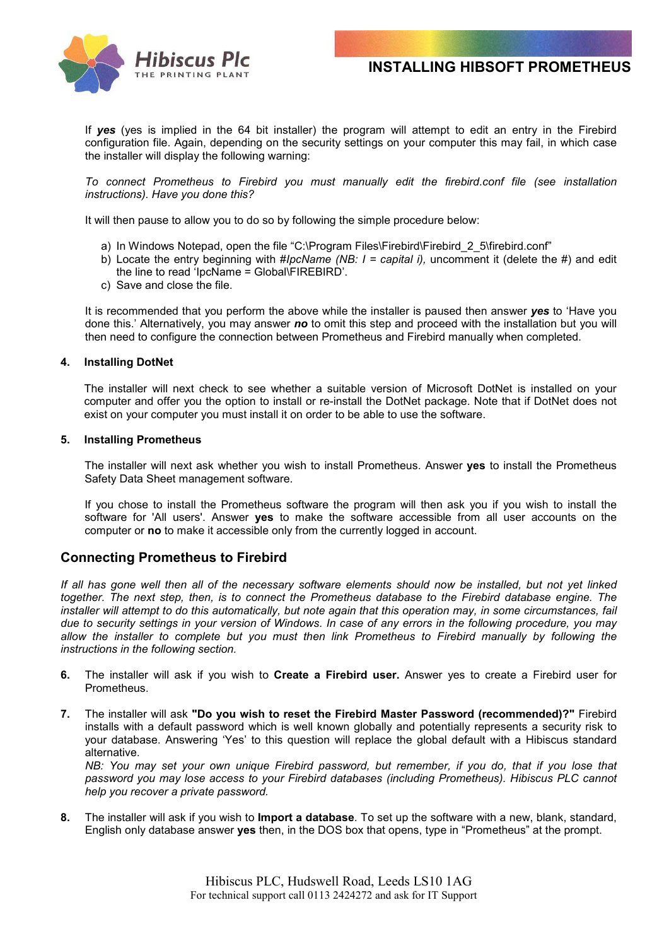



 If *yes* (yes is implied in the 64 bit installer) the program will attempt to edit an entry in the Firebird configuration file. Again, depending on the security settings on your computer this may fail, in which case the installer will display the following warning:

*To connect Prometheus to Firebird you must manually edit the firebird.conf file (see installation instructions). Have you done this?*

It will then pause to allow you to do so by following the simple procedure below:

- a) In Windows Notepad, open the file "C:\Program Files\Firebird\Firebird 2 5\firebird.conf"
- b) Locate the entry beginning with #*IpcName (NB: I = capital i),* uncomment it (delete the #) and edit the line to read 'IpcName = Global\FIREBIRD'.
- c) Save and close the file.

It is recommended that you perform the above while the installer is paused then answer *yes* to 'Have you done this.' Alternatively, you may answer *no* to omit this step and proceed with the installation but you will then need to configure the connection between Prometheus and Firebird manually when completed.

### **4. Installing DotNet**

The installer will next check to see whether a suitable version of Microsoft DotNet is installed on your computer and offer you the option to install or re-install the DotNet package. Note that if DotNet does not exist on your computer you must install it on order to be able to use the software.

### **5. Installing Prometheus**

The installer will next ask whether you wish to install Prometheus. Answer **yes** to install the Prometheus Safety Data Sheet management software.

If you chose to install the Prometheus software the program will then ask you if you wish to install the software for 'All users'. Answer **yes** to make the software accessible from all user accounts on the computer or **no** to make it accessible only from the currently logged in account.

# **Connecting Prometheus to Firebird**

*If all has gone well then all of the necessary software elements should now be installed, but not yet linked together. The next step, then, is to connect the Prometheus database to the Firebird database engine. The installer will attempt to do this automatically, but note again that this operation may, in some circumstances, fail due to security settings in your version of Windows. In case of any errors in the following procedure, you may allow the installer to complete but you must then link Prometheus to Firebird manually by following the instructions in the following section.*

- **6.** The installer will ask if you wish to **Create a Firebird user.** Answer yes to create a Firebird user for Prometheus.
- **7.** The installer will ask **"Do you wish to reset the Firebird Master Password (recommended)?"** Firebird installs with a default password which is well known globally and potentially represents a security risk to your database. Answering 'Yes' to this question will replace the global default with a Hibiscus standard alternative.

*NB: You may set your own unique Firebird password, but remember, if you do, that if you lose that password you may lose access to your Firebird databases (including Prometheus). Hibiscus PLC cannot help you recover a private password.*

**8.** The installer will ask if you wish to **Import a database**. To set up the software with a new, blank, standard, English only database answer **yes** then, in the DOS box that opens, type in "Prometheus" at the prompt.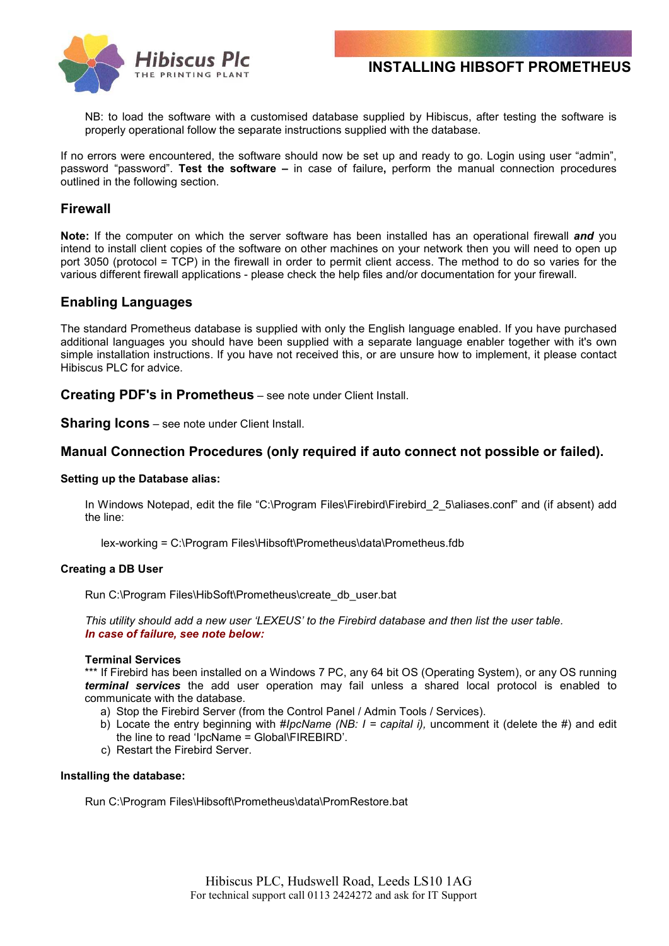



NB: to load the software with a customised database supplied by Hibiscus, after testing the software is properly operational follow the separate instructions supplied with the database.

If no errors were encountered, the software should now be set up and ready to go. Login using user "admin", password "password". **Test the software –** in case of failure**,** perform the manual connection procedures outlined in the following section.

# **Firewall**

**Note:** If the computer on which the server software has been installed has an operational firewall *and* you intend to install client copies of the software on other machines on your network then you will need to open up port 3050 (protocol = TCP) in the firewall in order to permit client access. The method to do so varies for the various different firewall applications - please check the help files and/or documentation for your firewall.

### **Enabling Languages**

The standard Prometheus database is supplied with only the English language enabled. If you have purchased additional languages you should have been supplied with a separate language enabler together with it's own simple installation instructions. If you have not received this, or are unsure how to implement, it please contact Hibiscus PLC for advice.

**Creating PDF's in Prometheus** – see note under Client Install.

**Sharing Icons** – see note under Client Install.

### **Manual Connection Procedures (only required if auto connect not possible or failed).**

### **Setting up the Database alias:**

In Windows Notepad, edit the file "C:\Program Files\Firebird\Firebird 2 5\aliases.conf" and (if absent) add the line:

lex-working = C:\Program Files\Hibsoft\Prometheus\data\Prometheus.fdb

### **Creating a DB User**

Run C:\Program Files\HibSoft\Prometheus\create\_db\_user.bat

*This utility should add a new user 'LEXEUS' to the Firebird database and then list the user table. In case of failure, see note below:*

### **Terminal Services**

\*\*\* If Firebird has been installed on a Windows 7 PC, any 64 bit OS (Operating System), or any OS running *terminal services* the add user operation may fail unless a shared local protocol is enabled to communicate with the database.

- a) Stop the Firebird Server (from the Control Panel / Admin Tools / Services).
- b) Locate the entry beginning with #*IpcName (NB: I = capital i),* uncomment it (delete the #) and edit the line to read 'IpcName = Global\FIREBIRD'.
- c) Restart the Firebird Server.

### **Installing the database:**

Run C:\Program Files\Hibsoft\Prometheus\data\PromRestore.bat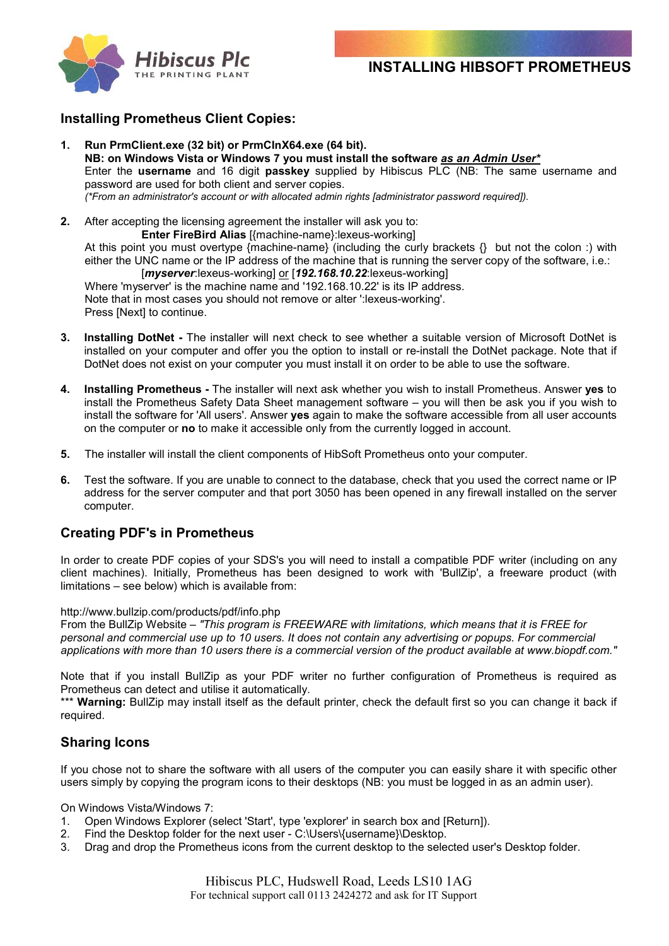



# **Installing Prometheus Client Copies:**

- **1. Run PrmClient.exe (32 bit) or PrmClnX64.exe (64 bit). NB: on Windows Vista or Windows 7 you must install the software** *as an Admin User\** Enter the **username** and 16 digit **passkey** supplied by Hibiscus PLC (NB: The same username and password are used for both client and server copies. *(\*From an administrator's account or with allocated admin rights [administrator password required]).*
- **2.** After accepting the licensing agreement the installer will ask you to: **Enter FireBird Alias** [{machine-name}:lexeus-working]

At this point you must overtype {machine-name} (including the curly brackets {} but not the colon :) with either the UNC name or the IP address of the machine that is running the server copy of the software, i.e.: [*myserver*:lexeus-working] or [*192.168.10.22*:lexeus-working]

Where 'myserver' is the machine name and '192.168.10.22' is its IP address. Note that in most cases you should not remove or alter ':lexeus-working'. Press [Next] to continue.

- **3. Installing DotNet** The installer will next check to see whether a suitable version of Microsoft DotNet is installed on your computer and offer you the option to install or re-install the DotNet package. Note that if DotNet does not exist on your computer you must install it on order to be able to use the software.
- **4. Installing Prometheus** The installer will next ask whether you wish to install Prometheus. Answer **yes** to install the Prometheus Safety Data Sheet management software – you will then be ask you if you wish to install the software for 'All users'. Answer **yes** again to make the software accessible from all user accounts on the computer or **no** to make it accessible only from the currently logged in account.
- **5.** The installer will install the client components of HibSoft Prometheus onto your computer.
- **6.** Test the software. If you are unable to connect to the database, check that you used the correct name or IP address for the server computer and that port 3050 has been opened in any firewall installed on the server computer.

# **Creating PDF's in Prometheus**

In order to create PDF copies of your SDS's you will need to install a compatible PDF writer (including on any client machines). Initially, Prometheus has been designed to work with 'BullZip', a freeware product (with limitations – see below) which is available from:

### http://www.bullzip.com/products/pdf/info.php

From the BullZip Website – *"This program is FREEWARE with limitations, which means that it is FREE for personal and commercial use up to 10 users. It does not contain any advertising or popups. For commercial applications with more than 10 users there is a commercial version of the product available at www.biopdf.com."*

Note that if you install BullZip as your PDF writer no further configuration of Prometheus is required as Prometheus can detect and utilise it automatically.

\*\*\* **Warning:** BullZip may install itself as the default printer, check the default first so you can change it back if required.

# **Sharing Icons**

If you chose not to share the software with all users of the computer you can easily share it with specific other users simply by copying the program icons to their desktops (NB: you must be logged in as an admin user).

On Windows Vista/Windows 7:

- 1. Open Windows Explorer (select 'Start', type 'explorer' in search box and [Return]).
- 2. Find the Desktop folder for the next user C:\Users\{username}\Desktop.
- 3. Drag and drop the Prometheus icons from the current desktop to the selected user's Desktop folder.